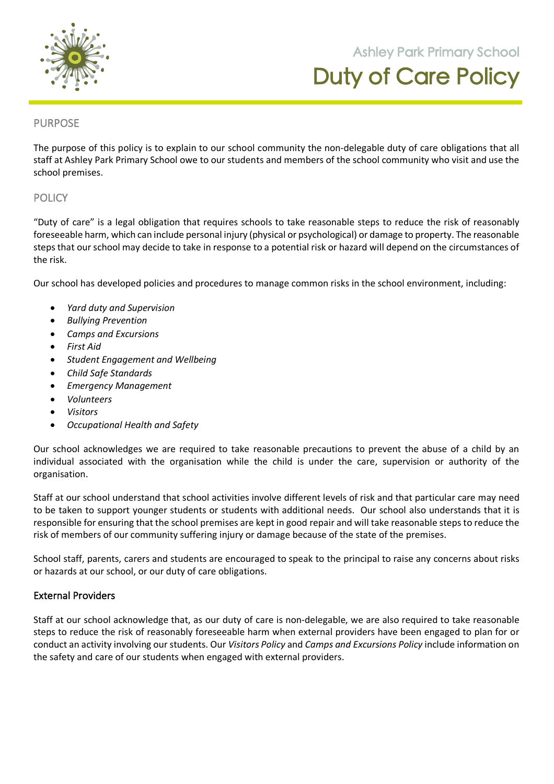

**105 Orchard Road Doreen 3754**

## PURPOSE

The purpose of this policy is to explain to our school community the non-delegable duty of care obligations that all staff at Ashley Park Primary School owe to our students and members of the school community who visit and use the school premises.

## **POLICY**

"Duty of care" is a legal obligation that requires schools to take reasonable steps to reduce the risk of reasonably foreseeable harm, which can include personal injury (physical or psychological) or damage to property. The reasonable steps that our school may decide to take in response to a potential risk or hazard will depend on the circumstances of the risk.

Our school has developed policies and procedures to manage common risks in the school environment, including:

- *Yard duty and Supervision*
- *Bullying Prevention*
- *Camps and Excursions*
- *First Aid*
- *Student Engagement and Wellbeing*
- *Child Safe Standards*
- *Emergency Management*
- *Volunteers*
- *Visitors*
- *Occupational Health and Safety*

Our school acknowledges we are required to take reasonable precautions to prevent the abuse of a child by an individual associated with the organisation while the child is under the care, supervision or authority of the organisation.

Staff at our school understand that school activities involve different levels of risk and that particular care may need to be taken to support younger students or students with additional needs. Our school also understands that it is responsible for ensuring that the school premises are kept in good repair and will take reasonable steps to reduce the risk of members of our community suffering injury or damage because of the state of the premises.

School staff, parents, carers and students are encouraged to speak to the principal to raise any concerns about risks or hazards at our school, or our duty of care obligations.

### External Providers

Staff at our school acknowledge that, as our duty of care is non-delegable, we are also required to take reasonable steps to reduce the risk of reasonably foreseeable harm when external providers have been engaged to plan for or conduct an activity involving our students. Our *Visitors Policy* and *Camps and Excursions Policy* include information on the safety and care of our students when engaged with external providers.